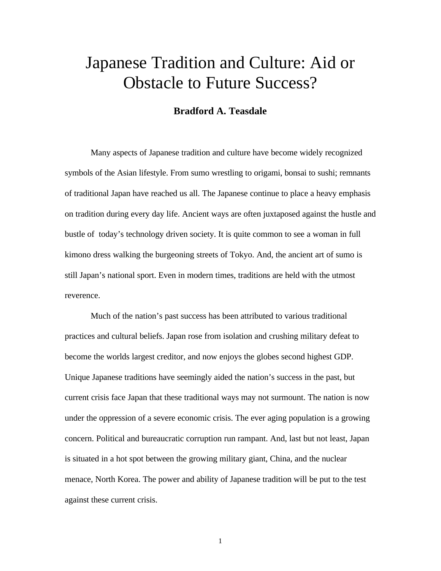# Japanese Tradition and Culture: Aid or Obstacle to Future Success?

# **Bradford A. Teasdale**

Many aspects of Japanese tradition and culture have become widely recognized symbols of the Asian lifestyle. From sumo wrestling to origami, bonsai to sushi; remnants of traditional Japan have reached us all. The Japanese continue to place a heavy emphasis on tradition during every day life. Ancient ways are often juxtaposed against the hustle and bustle of today's technology driven society. It is quite common to see a woman in full kimono dress walking the burgeoning streets of Tokyo. And, the ancient art of sumo is still Japan's national sport. Even in modern times, traditions are held with the utmost reverence.

Much of the nation's past success has been attributed to various traditional practices and cultural beliefs. Japan rose from isolation and crushing military defeat to become the worlds largest creditor, and now enjoys the globes second highest GDP. Unique Japanese traditions have seemingly aided the nation's success in the past, but current crisis face Japan that these traditional ways may not surmount. The nation is now under the oppression of a severe economic crisis. The ever aging population is a growing concern. Political and bureaucratic corruption run rampant. And, last but not least, Japan is situated in a hot spot between the growing military giant, China, and the nuclear menace, North Korea. The power and ability of Japanese tradition will be put to the test against these current crisis.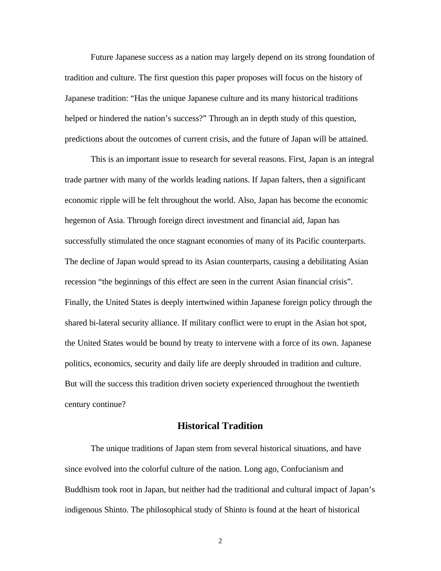Future Japanese success as a nation may largely depend on its strong foundation of tradition and culture. The first question this paper proposes will focus on the history of Japanese tradition: "Has the unique Japanese culture and its many historical traditions helped or hindered the nation's success?" Through an in depth study of this question, predictions about the outcomes of current crisis, and the future of Japan will be attained.

This is an important issue to research for several reasons. First, Japan is an integral trade partner with many of the worlds leading nations. If Japan falters, then a significant economic ripple will be felt throughout the world. Also, Japan has become the economic hegemon of Asia. Through foreign direct investment and financial aid, Japan has successfully stimulated the once stagnant economies of many of its Pacific counterparts. The decline of Japan would spread to its Asian counterparts, causing a debilitating Asian recession "the beginnings of this effect are seen in the current Asian financial crisis". Finally, the United States is deeply intertwined within Japanese foreign policy through the shared bi-lateral security alliance. If military conflict were to erupt in the Asian hot spot, the United States would be bound by treaty to intervene with a force of its own. Japanese politics, economics, security and daily life are deeply shrouded in tradition and culture. But will the success this tradition driven society experienced throughout the twentieth century continue?

# **Historical Tradition**

The unique traditions of Japan stem from several historical situations, and have since evolved into the colorful culture of the nation. Long ago, Confucianism and Buddhism took root in Japan, but neither had the traditional and cultural impact of Japan's indigenous Shinto. The philosophical study of Shinto is found at the heart of historical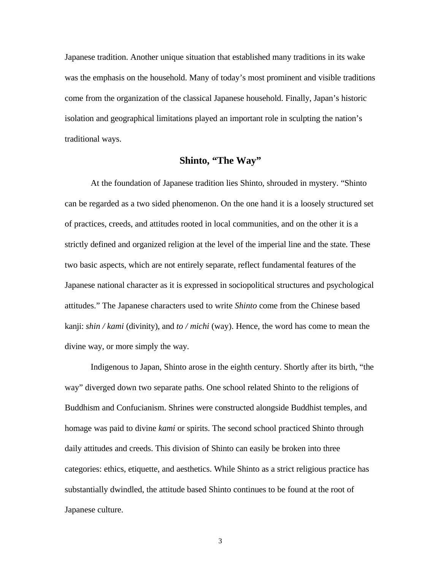Japanese tradition. Another unique situation that established many traditions in its wake was the emphasis on the household. Many of today's most prominent and visible traditions come from the organization of the classical Japanese household. Finally, Japan's historic isolation and geographical limitations played an important role in sculpting the nation's traditional ways.

# **Shinto, "The Way"**

At the foundation of Japanese tradition lies Shinto, shrouded in mystery. "Shinto can be regarded as a two sided phenomenon. On the one hand it is a loosely structured set of practices, creeds, and attitudes rooted in local communities, and on the other it is a strictly defined and organized religion at the level of the imperial line and the state. These two basic aspects, which are not entirely separate, reflect fundamental features of the Japanese national character as it is expressed in sociopolitical structures and psychological attitudes." The Japanese characters used to write *Shinto* come from the Chinese based kanji: *shin / kami* (divinity), and *to / michi* (way). Hence, the word has come to mean the divine way, or more simply the way.

Indigenous to Japan, Shinto arose in the eighth century. Shortly after its birth, "the way" diverged down two separate paths. One school related Shinto to the religions of Buddhism and Confucianism. Shrines were constructed alongside Buddhist temples, and homage was paid to divine *kami* or spirits. The second school practiced Shinto through daily attitudes and creeds. This division of Shinto can easily be broken into three categories: ethics, etiquette, and aesthetics. While Shinto as a strict religious practice has substantially dwindled, the attitude based Shinto continues to be found at the root of Japanese culture.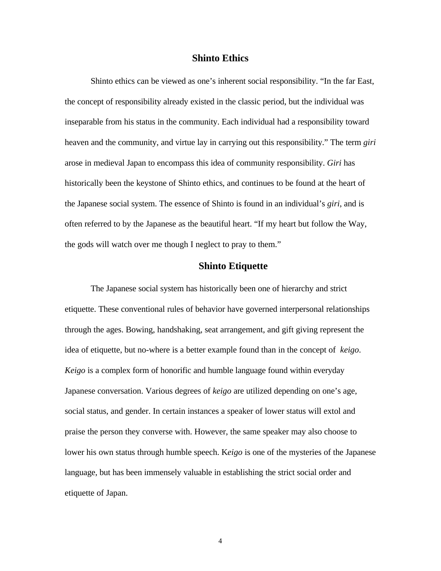## **Shinto Ethics**

Shinto ethics can be viewed as one's inherent social responsibility. "In the far East, the concept of responsibility already existed in the classic period, but the individual was inseparable from his status in the community. Each individual had a responsibility toward heaven and the community, and virtue lay in carrying out this responsibility." The term *giri* arose in medieval Japan to encompass this idea of community responsibility. *Giri* has historically been the keystone of Shinto ethics, and continues to be found at the heart of the Japanese social system. The essence of Shinto is found in an individual's *giri*, and is often referred to by the Japanese as the beautiful heart. "If my heart but follow the Way, the gods will watch over me though I neglect to pray to them."

# **Shinto Etiquette**

The Japanese social system has historically been one of hierarchy and strict etiquette. These conventional rules of behavior have governed interpersonal relationships through the ages. Bowing, handshaking, seat arrangement, and gift giving represent the idea of etiquette, but no-where is a better example found than in the concept of *keigo*. *Keigo* is a complex form of honorific and humble language found within everyday Japanese conversation. Various degrees of *keigo* are utilized depending on one's age, social status, and gender. In certain instances a speaker of lower status will extol and praise the person they converse with. However, the same speaker may also choose to lower his own status through humble speech. K*eigo* is one of the mysteries of the Japanese language, but has been immensely valuable in establishing the strict social order and etiquette of Japan.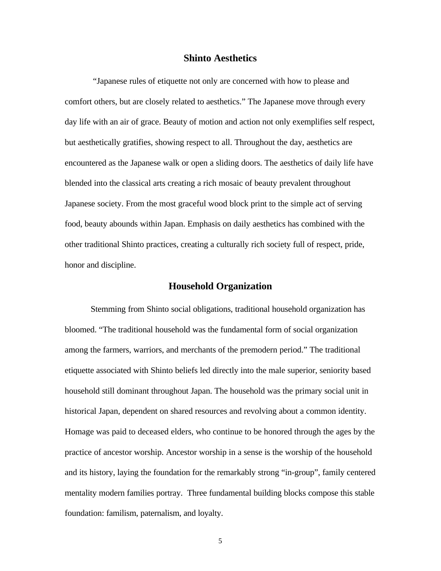# **Shinto Aesthetics**

 "Japanese rules of etiquette not only are concerned with how to please and comfort others, but are closely related to aesthetics." The Japanese move through every day life with an air of grace. Beauty of motion and action not only exemplifies self respect, but aesthetically gratifies, showing respect to all. Throughout the day, aesthetics are encountered as the Japanese walk or open a sliding doors. The aesthetics of daily life have blended into the classical arts creating a rich mosaic of beauty prevalent throughout Japanese society. From the most graceful wood block print to the simple act of serving food, beauty abounds within Japan. Emphasis on daily aesthetics has combined with the other traditional Shinto practices, creating a culturally rich society full of respect, pride, honor and discipline.

## **Household Organization**

Stemming from Shinto social obligations, traditional household organization has bloomed. "The traditional household was the fundamental form of social organization among the farmers, warriors, and merchants of the premodern period." The traditional etiquette associated with Shinto beliefs led directly into the male superior, seniority based household still dominant throughout Japan. The household was the primary social unit in historical Japan, dependent on shared resources and revolving about a common identity. Homage was paid to deceased elders, who continue to be honored through the ages by the practice of ancestor worship. Ancestor worship in a sense is the worship of the household and its history, laying the foundation for the remarkably strong "in-group", family centered mentality modern families portray. Three fundamental building blocks compose this stable foundation: familism, paternalism, and loyalty.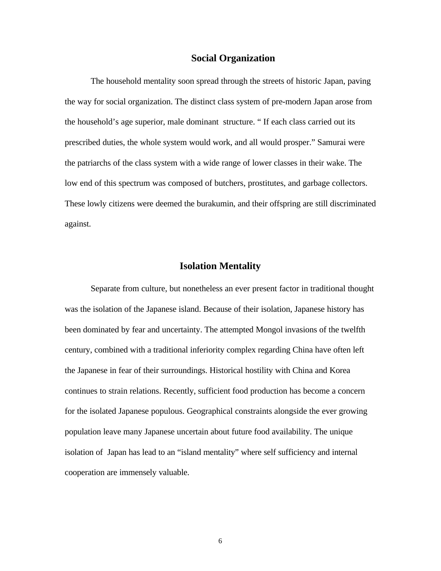## **Social Organization**

The household mentality soon spread through the streets of historic Japan, paving the way for social organization. The distinct class system of pre-modern Japan arose from the household's age superior, male dominant structure. " If each class carried out its prescribed duties, the whole system would work, and all would prosper." Samurai were the patriarchs of the class system with a wide range of lower classes in their wake. The low end of this spectrum was composed of butchers, prostitutes, and garbage collectors. These lowly citizens were deemed the burakumin, and their offspring are still discriminated against.

## **Isolation Mentality**

Separate from culture, but nonetheless an ever present factor in traditional thought was the isolation of the Japanese island. Because of their isolation, Japanese history has been dominated by fear and uncertainty. The attempted Mongol invasions of the twelfth century, combined with a traditional inferiority complex regarding China have often left the Japanese in fear of their surroundings. Historical hostility with China and Korea continues to strain relations. Recently, sufficient food production has become a concern for the isolated Japanese populous. Geographical constraints alongside the ever growing population leave many Japanese uncertain about future food availability. The unique isolation of Japan has lead to an "island mentality" where self sufficiency and internal cooperation are immensely valuable.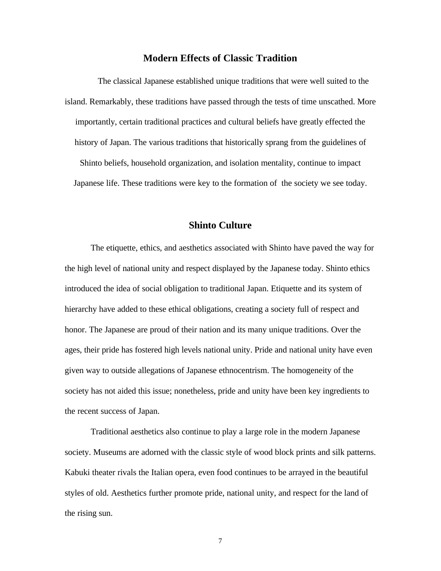# **Modern Effects of Classic Tradition**

The classical Japanese established unique traditions that were well suited to the island. Remarkably, these traditions have passed through the tests of time unscathed. More importantly, certain traditional practices and cultural beliefs have greatly effected the history of Japan. The various traditions that historically sprang from the guidelines of Shinto beliefs, household organization, and isolation mentality, continue to impact Japanese life. These traditions were key to the formation of the society we see today.

## **Shinto Culture**

The etiquette, ethics, and aesthetics associated with Shinto have paved the way for the high level of national unity and respect displayed by the Japanese today. Shinto ethics introduced the idea of social obligation to traditional Japan. Etiquette and its system of hierarchy have added to these ethical obligations, creating a society full of respect and honor. The Japanese are proud of their nation and its many unique traditions. Over the ages, their pride has fostered high levels national unity. Pride and national unity have even given way to outside allegations of Japanese ethnocentrism. The homogeneity of the society has not aided this issue; nonetheless, pride and unity have been key ingredients to the recent success of Japan.

Traditional aesthetics also continue to play a large role in the modern Japanese society. Museums are adorned with the classic style of wood block prints and silk patterns. Kabuki theater rivals the Italian opera, even food continues to be arrayed in the beautiful styles of old. Aesthetics further promote pride, national unity, and respect for the land of the rising sun.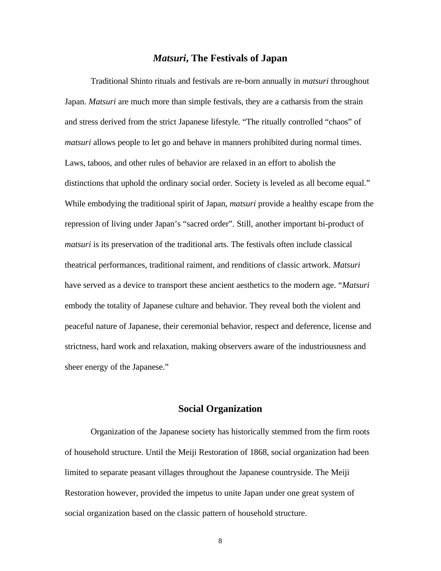#### *Matsuri***, The Festivals of Japan**

Traditional Shinto rituals and festivals are re-born annually in *matsuri* throughout Japan. *Matsuri* are much more than simple festivals, they are a catharsis from the strain and stress derived from the strict Japanese lifestyle. "The ritually controlled "chaos" of *matsuri* allows people to let go and behave in manners prohibited during normal times. Laws, taboos, and other rules of behavior are relaxed in an effort to abolish the distinctions that uphold the ordinary social order. Society is leveled as all become equal." While embodying the traditional spirit of Japan, *matsuri* provide a healthy escape from the repression of living under Japan's "sacred order". Still, another important bi-product of *matsuri* is its preservation of the traditional arts. The festivals often include classical theatrical performances, traditional raiment, and renditions of classic artwork. *Matsuri* have served as a device to transport these ancient aesthetics to the modern age. "*Matsuri* embody the totality of Japanese culture and behavior. They reveal both the violent and peaceful nature of Japanese, their ceremonial behavior, respect and deference, license and strictness, hard work and relaxation, making observers aware of the industriousness and sheer energy of the Japanese."

# **Social Organization**

Organization of the Japanese society has historically stemmed from the firm roots of household structure. Until the Meiji Restoration of 1868, social organization had been limited to separate peasant villages throughout the Japanese countryside. The Meiji Restoration however, provided the impetus to unite Japan under one great system of social organization based on the classic pattern of household structure.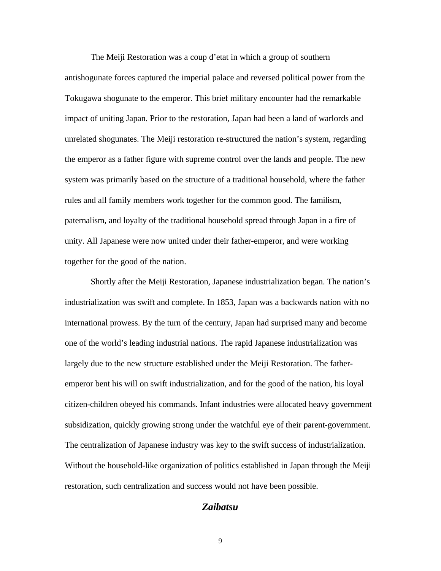The Meiji Restoration was a coup d'etat in which a group of southern antishogunate forces captured the imperial palace and reversed political power from the Tokugawa shogunate to the emperor. This brief military encounter had the remarkable impact of uniting Japan. Prior to the restoration, Japan had been a land of warlords and unrelated shogunates. The Meiji restoration re-structured the nation's system, regarding the emperor as a father figure with supreme control over the lands and people. The new system was primarily based on the structure of a traditional household, where the father rules and all family members work together for the common good. The familism, paternalism, and loyalty of the traditional household spread through Japan in a fire of unity. All Japanese were now united under their father-emperor, and were working together for the good of the nation.

Shortly after the Meiji Restoration, Japanese industrialization began. The nation's industrialization was swift and complete. In 1853, Japan was a backwards nation with no international prowess. By the turn of the century, Japan had surprised many and become one of the world's leading industrial nations. The rapid Japanese industrialization was largely due to the new structure established under the Meiji Restoration. The fatheremperor bent his will on swift industrialization, and for the good of the nation, his loyal citizen-children obeyed his commands. Infant industries were allocated heavy government subsidization, quickly growing strong under the watchful eye of their parent-government. The centralization of Japanese industry was key to the swift success of industrialization. Without the household-like organization of politics established in Japan through the Meiji restoration, such centralization and success would not have been possible.

# *Zaibatsu*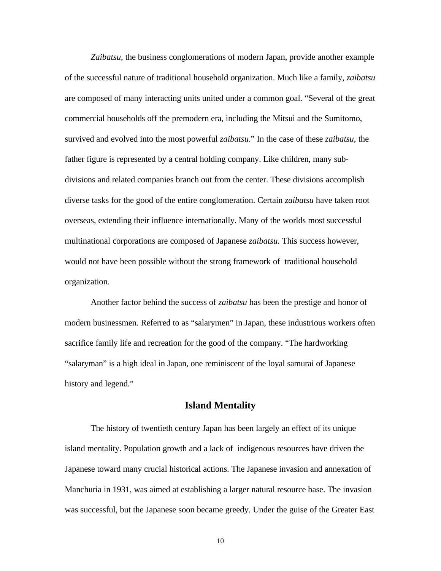*Zaibatsu*, the business conglomerations of modern Japan, provide another example of the successful nature of traditional household organization. Much like a family, *zaibatsu* are composed of many interacting units united under a common goal. "Several of the great commercial households off the premodern era, including the Mitsui and the Sumitomo, survived and evolved into the most powerful *zaibatsu*." In the case of these *zaibatsu*, the father figure is represented by a central holding company. Like children, many subdivisions and related companies branch out from the center. These divisions accomplish diverse tasks for the good of the entire conglomeration. Certain *zaibatsu* have taken root overseas, extending their influence internationally. Many of the worlds most successful multinational corporations are composed of Japanese *zaibatsu*. This success however, would not have been possible without the strong framework of traditional household organization.

Another factor behind the success of *zaibatsu* has been the prestige and honor of modern businessmen. Referred to as "salarymen" in Japan, these industrious workers often sacrifice family life and recreation for the good of the company. "The hardworking "salaryman" is a high ideal in Japan, one reminiscent of the loyal samurai of Japanese history and legend."

# **Island Mentality**

The history of twentieth century Japan has been largely an effect of its unique island mentality. Population growth and a lack of indigenous resources have driven the Japanese toward many crucial historical actions. The Japanese invasion and annexation of Manchuria in 1931, was aimed at establishing a larger natural resource base. The invasion was successful, but the Japanese soon became greedy. Under the guise of the Greater East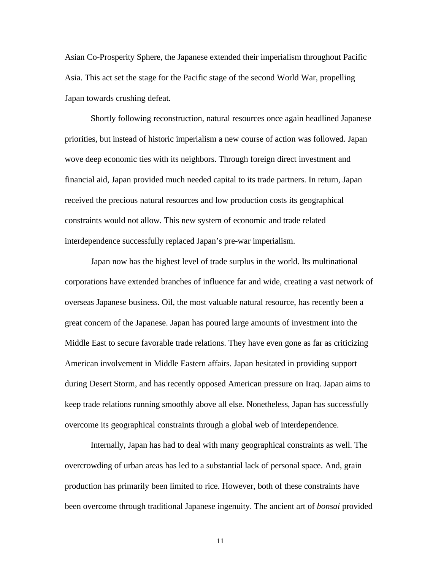Asian Co-Prosperity Sphere, the Japanese extended their imperialism throughout Pacific Asia. This act set the stage for the Pacific stage of the second World War, propelling Japan towards crushing defeat.

Shortly following reconstruction, natural resources once again headlined Japanese priorities, but instead of historic imperialism a new course of action was followed. Japan wove deep economic ties with its neighbors. Through foreign direct investment and financial aid, Japan provided much needed capital to its trade partners. In return, Japan received the precious natural resources and low production costs its geographical constraints would not allow. This new system of economic and trade related interdependence successfully replaced Japan's pre-war imperialism.

Japan now has the highest level of trade surplus in the world. Its multinational corporations have extended branches of influence far and wide, creating a vast network of overseas Japanese business. Oil, the most valuable natural resource, has recently been a great concern of the Japanese. Japan has poured large amounts of investment into the Middle East to secure favorable trade relations. They have even gone as far as criticizing American involvement in Middle Eastern affairs. Japan hesitated in providing support during Desert Storm, and has recently opposed American pressure on Iraq. Japan aims to keep trade relations running smoothly above all else. Nonetheless, Japan has successfully overcome its geographical constraints through a global web of interdependence.

Internally, Japan has had to deal with many geographical constraints as well. The overcrowding of urban areas has led to a substantial lack of personal space. And, grain production has primarily been limited to rice. However, both of these constraints have been overcome through traditional Japanese ingenuity. The ancient art of *bonsai* provided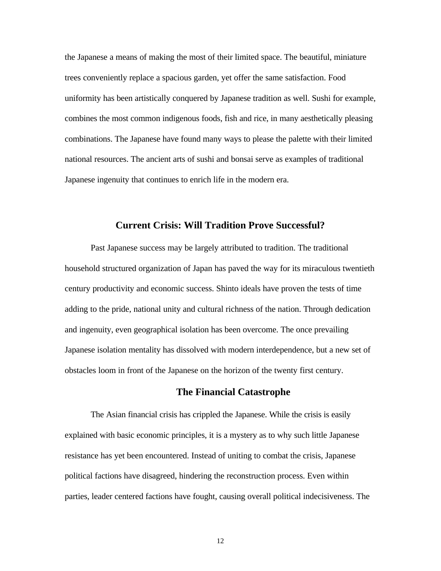the Japanese a means of making the most of their limited space. The beautiful, miniature trees conveniently replace a spacious garden, yet offer the same satisfaction. Food uniformity has been artistically conquered by Japanese tradition as well. Sushi for example, combines the most common indigenous foods, fish and rice, in many aesthetically pleasing combinations. The Japanese have found many ways to please the palette with their limited national resources. The ancient arts of sushi and bonsai serve as examples of traditional Japanese ingenuity that continues to enrich life in the modern era.

## **Current Crisis: Will Tradition Prove Successful?**

Past Japanese success may be largely attributed to tradition. The traditional household structured organization of Japan has paved the way for its miraculous twentieth century productivity and economic success. Shinto ideals have proven the tests of time adding to the pride, national unity and cultural richness of the nation. Through dedication and ingenuity, even geographical isolation has been overcome. The once prevailing Japanese isolation mentality has dissolved with modern interdependence, but a new set of obstacles loom in front of the Japanese on the horizon of the twenty first century.

# **The Financial Catastrophe**

The Asian financial crisis has crippled the Japanese. While the crisis is easily explained with basic economic principles, it is a mystery as to why such little Japanese resistance has yet been encountered. Instead of uniting to combat the crisis, Japanese political factions have disagreed, hindering the reconstruction process. Even within parties, leader centered factions have fought, causing overall political indecisiveness. The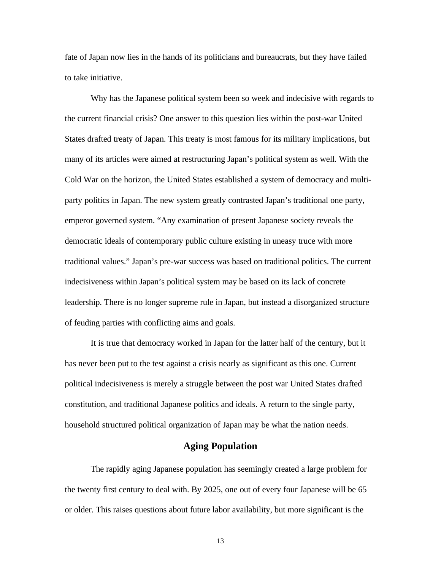fate of Japan now lies in the hands of its politicians and bureaucrats, but they have failed to take initiative.

Why has the Japanese political system been so week and indecisive with regards to the current financial crisis? One answer to this question lies within the post-war United States drafted treaty of Japan. This treaty is most famous for its military implications, but many of its articles were aimed at restructuring Japan's political system as well. With the Cold War on the horizon, the United States established a system of democracy and multiparty politics in Japan. The new system greatly contrasted Japan's traditional one party, emperor governed system. "Any examination of present Japanese society reveals the democratic ideals of contemporary public culture existing in uneasy truce with more traditional values." Japan's pre-war success was based on traditional politics. The current indecisiveness within Japan's political system may be based on its lack of concrete leadership. There is no longer supreme rule in Japan, but instead a disorganized structure of feuding parties with conflicting aims and goals.

It is true that democracy worked in Japan for the latter half of the century, but it has never been put to the test against a crisis nearly as significant as this one. Current political indecisiveness is merely a struggle between the post war United States drafted constitution, and traditional Japanese politics and ideals. A return to the single party, household structured political organization of Japan may be what the nation needs.

# **Aging Population**

The rapidly aging Japanese population has seemingly created a large problem for the twenty first century to deal with. By 2025, one out of every four Japanese will be 65 or older. This raises questions about future labor availability, but more significant is the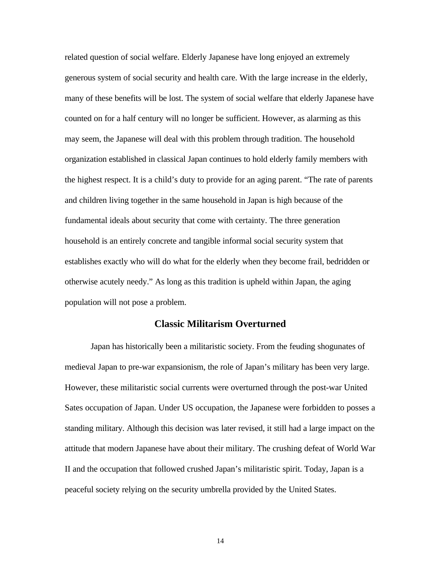related question of social welfare. Elderly Japanese have long enjoyed an extremely generous system of social security and health care. With the large increase in the elderly, many of these benefits will be lost. The system of social welfare that elderly Japanese have counted on for a half century will no longer be sufficient. However, as alarming as this may seem, the Japanese will deal with this problem through tradition. The household organization established in classical Japan continues to hold elderly family members with the highest respect. It is a child's duty to provide for an aging parent. "The rate of parents and children living together in the same household in Japan is high because of the fundamental ideals about security that come with certainty. The three generation household is an entirely concrete and tangible informal social security system that establishes exactly who will do what for the elderly when they become frail, bedridden or otherwise acutely needy." As long as this tradition is upheld within Japan, the aging population will not pose a problem.

## **Classic Militarism Overturned**

Japan has historically been a militaristic society. From the feuding shogunates of medieval Japan to pre-war expansionism, the role of Japan's military has been very large. However, these militaristic social currents were overturned through the post-war United Sates occupation of Japan. Under US occupation, the Japanese were forbidden to posses a standing military. Although this decision was later revised, it still had a large impact on the attitude that modern Japanese have about their military. The crushing defeat of World War II and the occupation that followed crushed Japan's militaristic spirit. Today, Japan is a peaceful society relying on the security umbrella provided by the United States.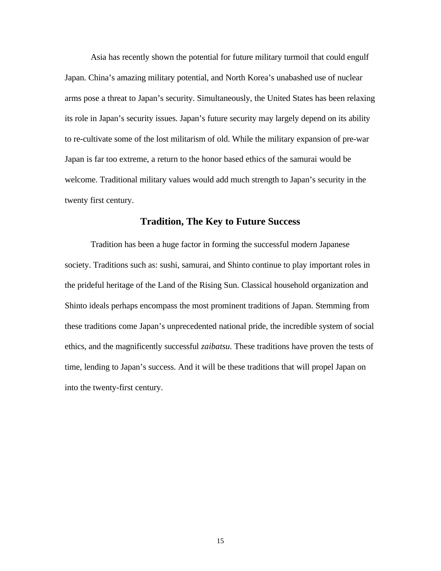Asia has recently shown the potential for future military turmoil that could engulf Japan. China's amazing military potential, and North Korea's unabashed use of nuclear arms pose a threat to Japan's security. Simultaneously, the United States has been relaxing its role in Japan's security issues. Japan's future security may largely depend on its ability to re-cultivate some of the lost militarism of old. While the military expansion of pre-war Japan is far too extreme, a return to the honor based ethics of the samurai would be welcome. Traditional military values would add much strength to Japan's security in the twenty first century.

# **Tradition, The Key to Future Success**

Tradition has been a huge factor in forming the successful modern Japanese society. Traditions such as: sushi, samurai, and Shinto continue to play important roles in the prideful heritage of the Land of the Rising Sun. Classical household organization and Shinto ideals perhaps encompass the most prominent traditions of Japan. Stemming from these traditions come Japan's unprecedented national pride, the incredible system of social ethics, and the magnificently successful *zaibatsu.* These traditions have proven the tests of time, lending to Japan's success. And it will be these traditions that will propel Japan on into the twenty-first century.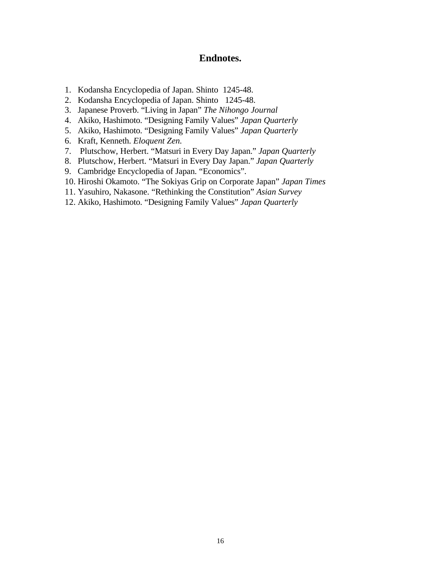# **Endnotes.**

- 1. Kodansha Encyclopedia of Japan. Shinto 1245-48.
- 2. Kodansha Encyclopedia of Japan. Shinto 1245-48.
- 3. Japanese Proverb. "Living in Japan" *The Nihongo Journal*
- 4. Akiko, Hashimoto. "Designing Family Values" *Japan Quarterly*
- 5. Akiko, Hashimoto. "Designing Family Values" *Japan Quarterly*
- 6. Kraft, Kenneth. *Eloquent Zen.*
- 7. Plutschow, Herbert. "Matsuri in Every Day Japan." *Japan Quarterly*
- 8. Plutschow, Herbert. "Matsuri in Every Day Japan." *Japan Quarterly*
- 9. Cambridge Encyclopedia of Japan. "Economics".
- 10. Hiroshi Okamoto. "The Sokiyas Grip on Corporate Japan" *Japan Times*
- 11. Yasuhiro, Nakasone. "Rethinking the Constitution" *Asian Survey*
- 12. Akiko, Hashimoto. "Designing Family Values" *Japan Quarterly*